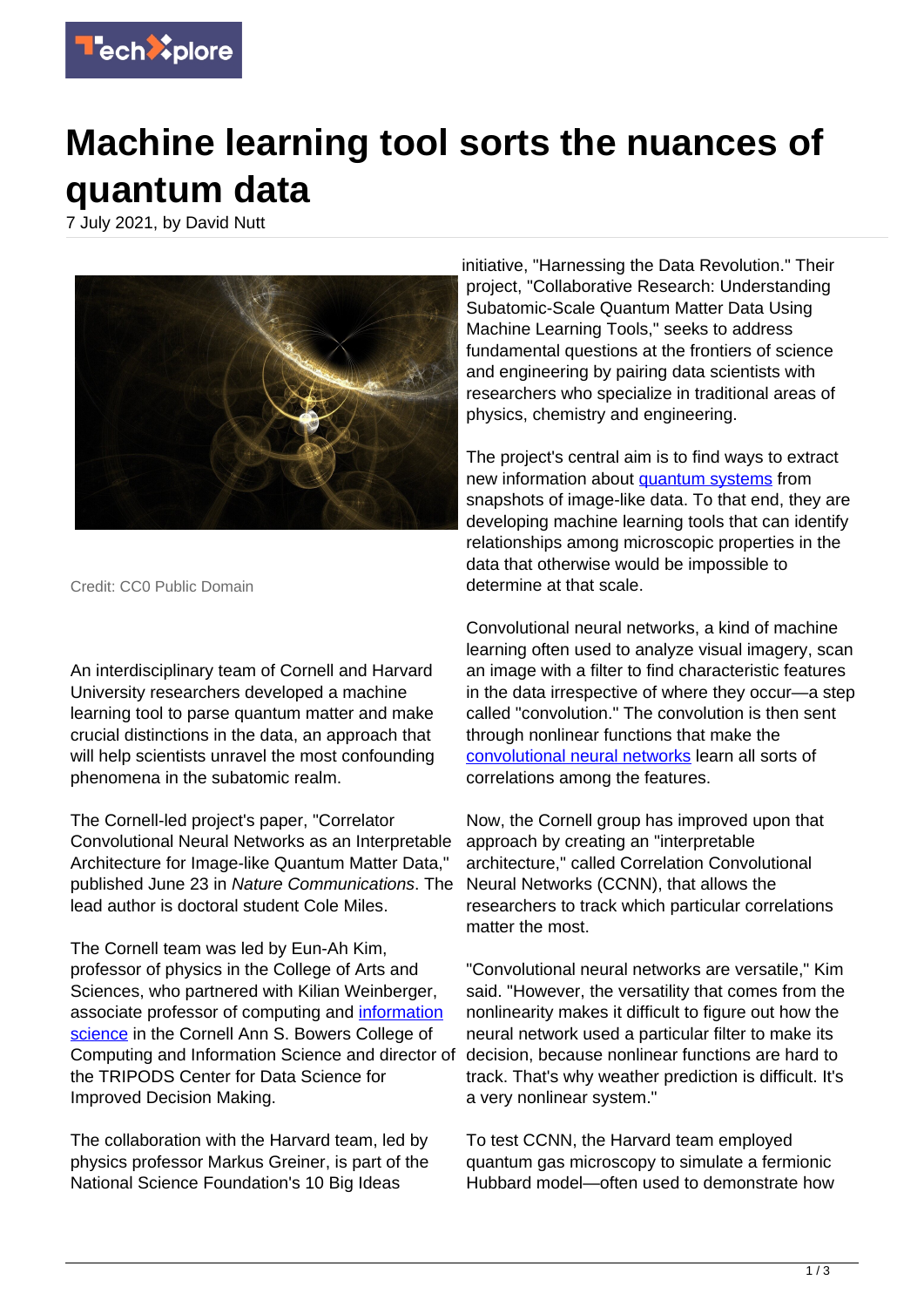

## **Machine learning tool sorts the nuances of quantum data**

7 July 2021, by David Nutt



Credit: CC0 Public Domain

An interdisciplinary team of Cornell and Harvard University researchers developed a machine learning tool to parse quantum matter and make crucial distinctions in the data, an approach that will help scientists unravel the most confounding phenomena in the subatomic realm.

The Cornell-led project's paper, "Correlator Convolutional Neural Networks as an Interpretable Architecture for Image-like Quantum Matter Data," published June 23 in Nature Communications. The lead author is doctoral student Cole Miles.

The Cornell team was led by Eun-Ah Kim, professor of physics in the College of Arts and Sciences, who partnered with Kilian Weinberger, associate professor of computing and [information](https://techxplore.com/tags/information+science/) [science](https://techxplore.com/tags/information+science/) in the Cornell Ann S. Bowers College of Computing and Information Science and director of the TRIPODS Center for Data Science for Improved Decision Making.

The collaboration with the Harvard team, led by physics professor Markus Greiner, is part of the National Science Foundation's 10 Big Ideas

initiative, "Harnessing the Data Revolution." Their project, "Collaborative Research: Understanding Subatomic-Scale Quantum Matter Data Using Machine Learning Tools," seeks to address fundamental questions at the frontiers of science and engineering by pairing data scientists with researchers who specialize in traditional areas of physics, chemistry and engineering.

The project's central aim is to find ways to extract new information about **quantum** systems from snapshots of image-like data. To that end, they are developing machine learning tools that can identify relationships among microscopic properties in the data that otherwise would be impossible to determine at that scale.

Convolutional neural networks, a kind of machine learning often used to analyze visual imagery, scan an image with a filter to find characteristic features in the data irrespective of where they occur—a step called "convolution." The convolution is then sent through nonlinear functions that make the [convolutional neural networks](https://techxplore.com/tags/convolutional+neural+networks/) learn all sorts of correlations among the features.

Now, the Cornell group has improved upon that approach by creating an "interpretable architecture," called Correlation Convolutional Neural Networks (CCNN), that allows the researchers to track which particular correlations matter the most.

"Convolutional neural networks are versatile," Kim said. "However, the versatility that comes from the nonlinearity makes it difficult to figure out how the neural network used a particular filter to make its decision, because nonlinear functions are hard to track. That's why weather prediction is difficult. It's a very nonlinear system."

To test CCNN, the Harvard team employed quantum gas microscopy to simulate a fermionic Hubbard model—often used to demonstrate how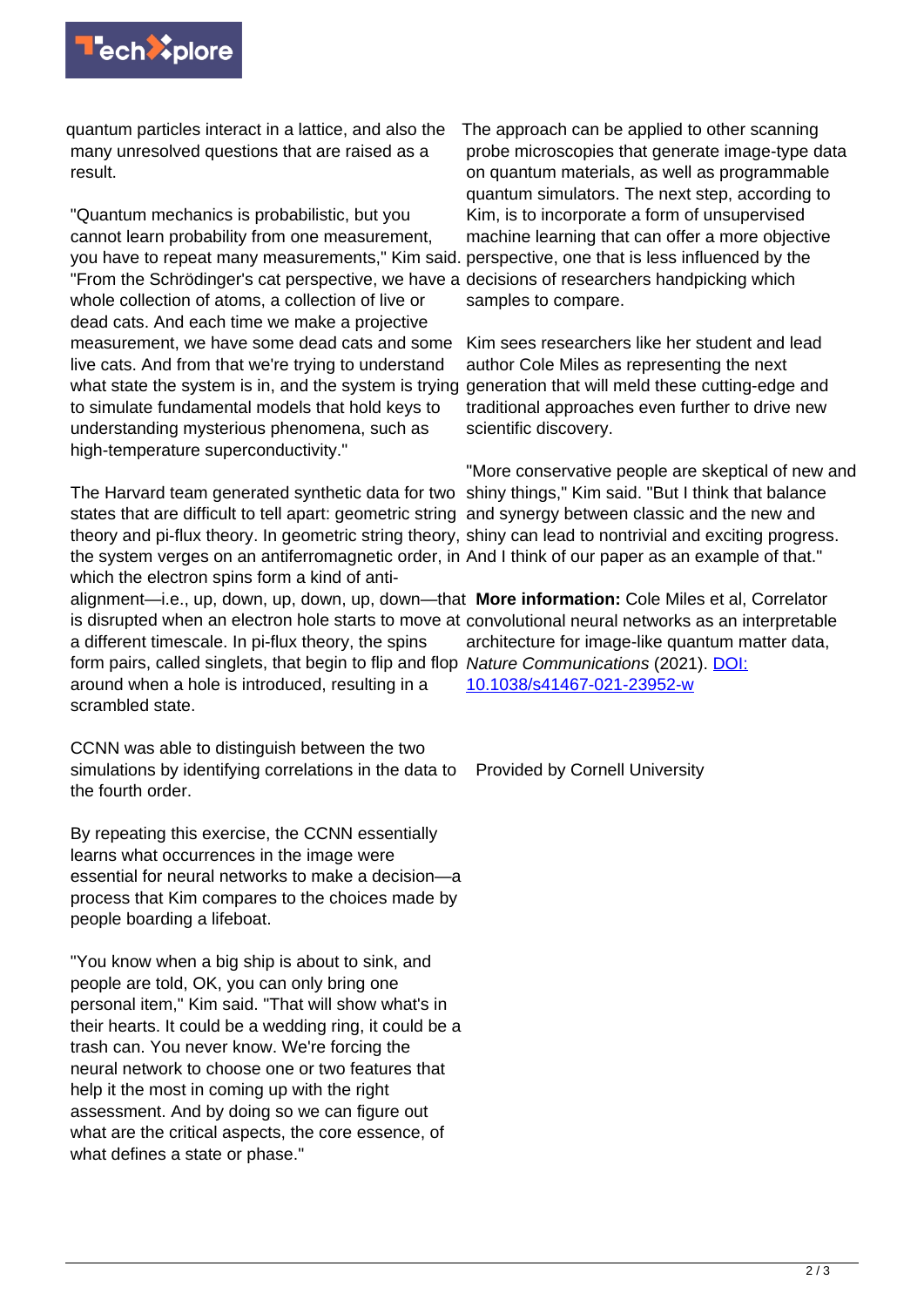

quantum particles interact in a lattice, and also the many unresolved questions that are raised as a result.

"Quantum mechanics is probabilistic, but you cannot learn probability from one measurement, you have to repeat many measurements," Kim said. perspective, one that is less influenced by the "From the Schrödinger's cat perspective, we have a decisions of researchers handpicking which whole collection of atoms, a collection of live or dead cats. And each time we make a projective measurement, we have some dead cats and some live cats. And from that we're trying to understand what state the system is in, and the system is trying generation that will meld these cutting-edge and to simulate fundamental models that hold keys to understanding mysterious phenomena, such as high-temperature superconductivity."

The Harvard team generated synthetic data for two shiny things," Kim said. "But I think that balance states that are difficult to tell apart: geometric string and synergy between classic and the new and theory and pi-flux theory. In geometric string theory, shiny can lead to nontrivial and exciting progress. the system verges on an antiferromagnetic order, in And I think of our paper as an example of that." which the electron spins form a kind of anti-

is disrupted when an electron hole starts to move at convolutional neural networks as an interpretable a different timescale. In pi-flux theory, the spins form pairs, called singlets, that begin to flip and flop Nature Communications (2021). *DOI*: around when a hole is introduced, resulting in a scrambled state.

CCNN was able to distinguish between the two simulations by identifying correlations in the data to the fourth order.

By repeating this exercise, the CCNN essentially learns what occurrences in the image were essential for neural networks to make a decision—a process that Kim compares to the choices made by people boarding a lifeboat.

"You know when a big ship is about to sink, and people are told, OK, you can only bring one personal item," Kim said. "That will show what's in their hearts. It could be a wedding ring, it could be a trash can. You never know. We're forcing the neural network to choose one or two features that help it the most in coming up with the right assessment. And by doing so we can figure out what are the critical aspects, the core essence, of what defines a state or phase."

The approach can be applied to other scanning probe microscopies that generate image-type data on quantum materials, as well as programmable quantum simulators. The next step, according to Kim, is to incorporate a form of unsupervised machine learning that can offer a more objective samples to compare.

Kim sees researchers like her student and lead author Cole Miles as representing the next traditional approaches even further to drive new scientific discovery.

"More conservative people are skeptical of new and

alignment—i.e., up, down, up, down, up, down—that **More information:** Cole Miles et al, Correlator architecture for image-like quantum matter data, [10.1038/s41467-021-23952-w](http://dx.doi.org/10.1038/s41467-021-23952-w)

Provided by Cornell University